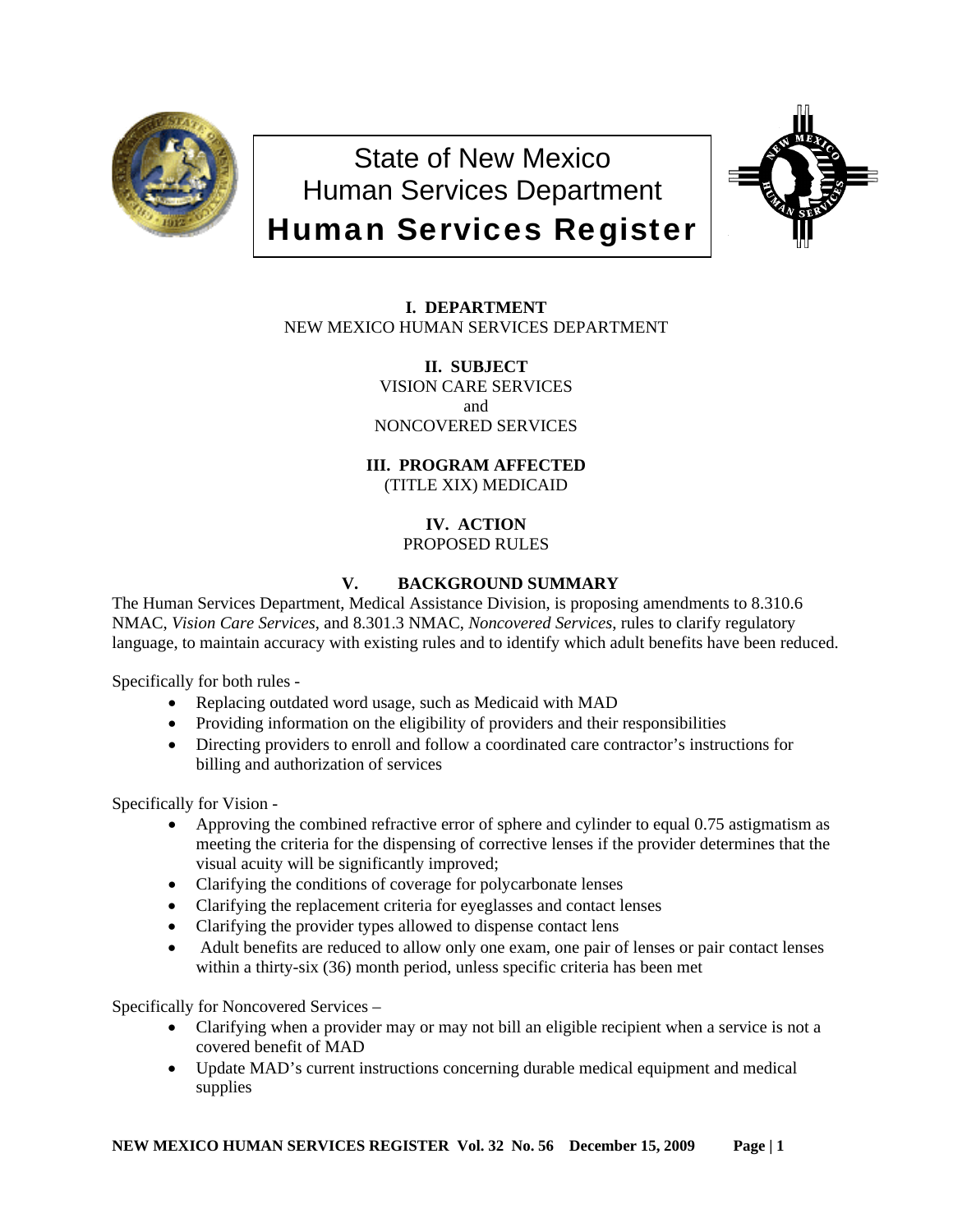

State of New Mexico Human Services Department Human Services Register



**I. DEPARTMENT** NEW MEXICO HUMAN SERVICES DEPARTMENT

> **II. SUBJECT** VISION CARE SERVICES and NONCOVERED SERVICES

**III. PROGRAM AFFECTED** (TITLE XIX) MEDICAID

## **IV. ACTION** PROPOSED RULES

# **V. BACKGROUND SUMMARY**

The Human Services Department, Medical Assistance Division, is proposing amendments to 8.310.6 NMAC, *Vision Care Services*, and 8.301.3 NMAC, *Noncovered Services*, rules to clarify regulatory language, to maintain accuracy with existing rules and to identify which adult benefits have been reduced.

Specifically for both rules -

- Replacing outdated word usage, such as Medicaid with MAD
- Providing information on the eligibility of providers and their responsibilities
- Directing providers to enroll and follow a coordinated care contractor's instructions for billing and authorization of services

Specifically for Vision -

- Approving the combined refractive error of sphere and cylinder to equal 0.75 astigmatism as meeting the criteria for the dispensing of corrective lenses if the provider determines that the visual acuity will be significantly improved;
- Clarifying the conditions of coverage for polycarbonate lenses
- Clarifying the replacement criteria for eyeglasses and contact lenses
- Clarifying the provider types allowed to dispense contact lens
- Adult benefits are reduced to allow only one exam, one pair of lenses or pair contact lenses within a thirty-six (36) month period, unless specific criteria has been met

Specifically for Noncovered Services –

- Clarifying when a provider may or may not bill an eligible recipient when a service is not a covered benefit of MAD
- Update MAD's current instructions concerning durable medical equipment and medical supplies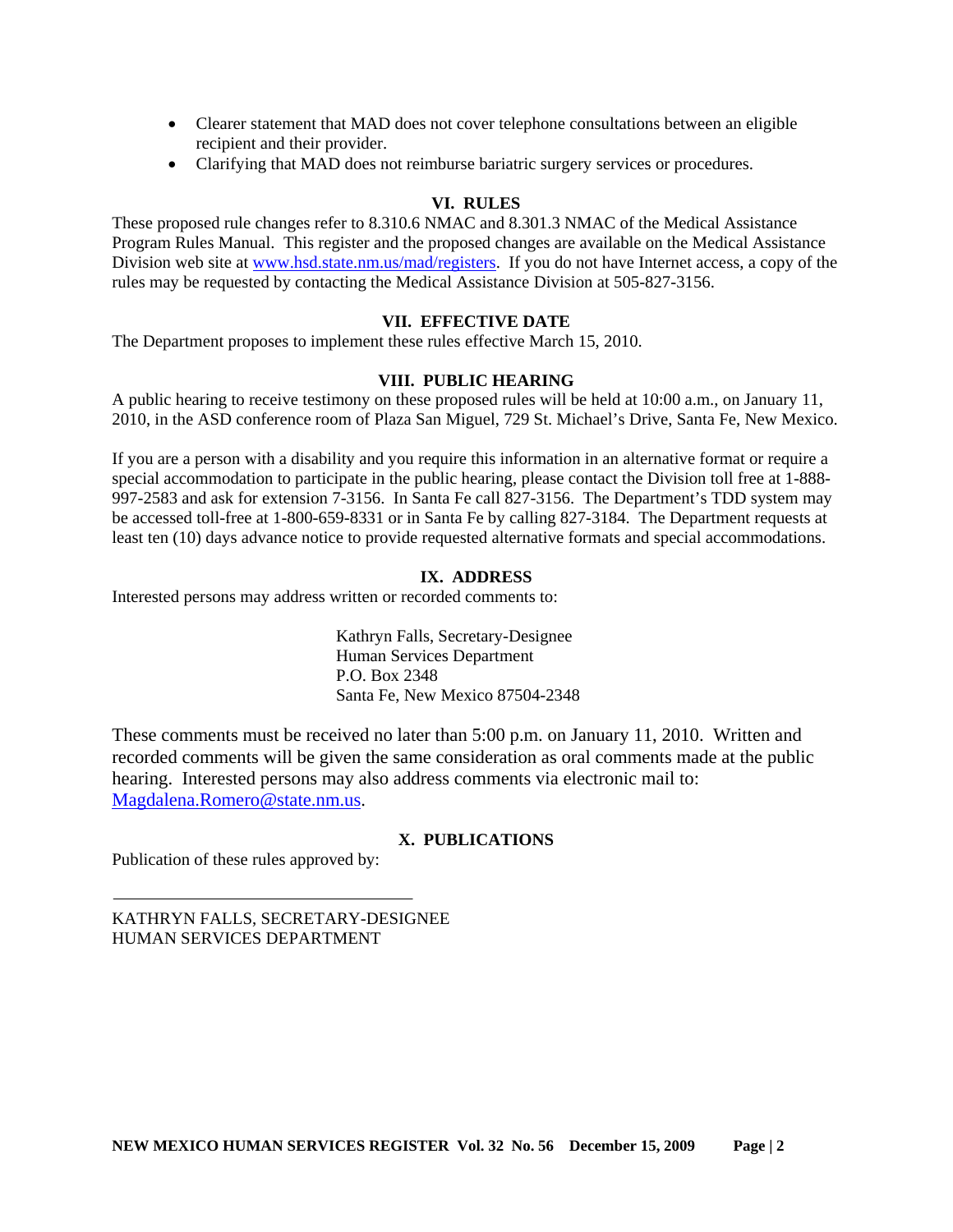- Clearer statement that MAD does not cover telephone consultations between an eligible recipient and their provider.
- Clarifying that MAD does not reimburse bariatric surgery services or procedures.

## **VI. RULES**

These proposed rule changes refer to 8.310.6 NMAC and 8.301.3 NMAC of the Medical Assistance Program Rules Manual. This register and the proposed changes are available on the Medical Assistance Division web site at [www.hsd.state.nm.us/mad/registers.](http://www.hsd.state.nm.us/mad/registers) If you do not have Internet access, a copy of the rules may be requested by contacting the Medical Assistance Division at 505-827-3156.

## **VII. EFFECTIVE DATE**

The Department proposes to implement these rules effective March 15, 2010.

## **VIII. PUBLIC HEARING**

A public hearing to receive testimony on these proposed rules will be held at 10:00 a.m., on January 11, 2010, in the ASD conference room of Plaza San Miguel, 729 St. Michael's Drive, Santa Fe, New Mexico.

If you are a person with a disability and you require this information in an alternative format or require a special accommodation to participate in the public hearing, please contact the Division toll free at 1-888- 997-2583 and ask for extension 7-3156. In Santa Fe call 827-3156. The Department's TDD system may be accessed toll-free at 1-800-659-8331 or in Santa Fe by calling 827-3184. The Department requests at least ten (10) days advance notice to provide requested alternative formats and special accommodations.

## **IX. ADDRESS**

Interested persons may address written or recorded comments to:

Kathryn Falls, Secretary-Designee Human Services Department P.O. Box 2348 Santa Fe, New Mexico 87504-2348

These comments must be received no later than 5:00 p.m. on January 11, 2010. Written and recorded comments will be given the same consideration as oral comments made at the public hearing. Interested persons may also address comments via electronic mail to: [Magdalena.Romero@state.nm.us.](mailto:Magdalena.Romero@state.nm.us)

## **X. PUBLICATIONS**

Publication of these rules approved by:

KATHRYN FALLS, SECRETARY-DESIGNEE HUMAN SERVICES DEPARTMENT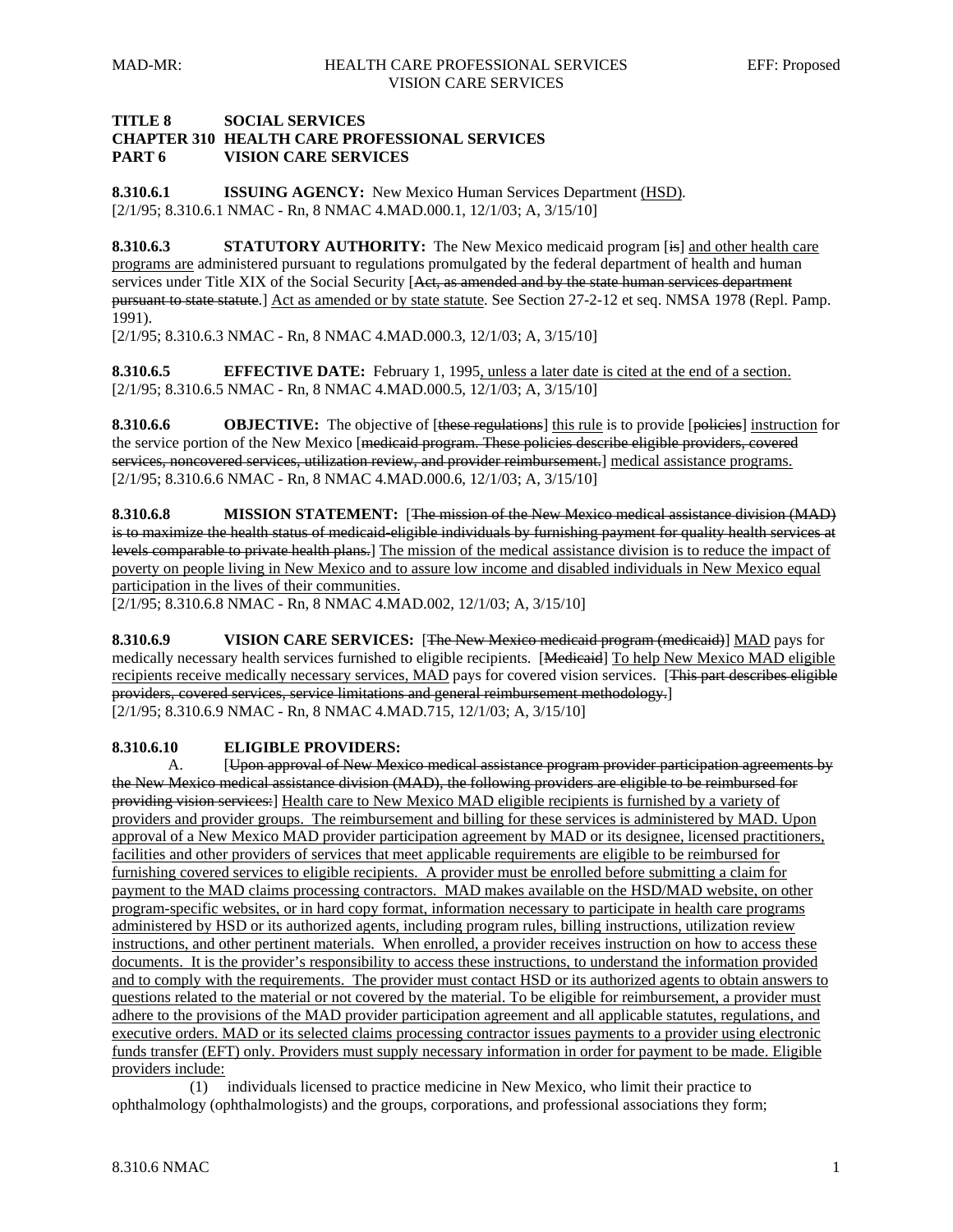## **TITLE 8 SOCIAL SERVICES CHAPTER 310 HEALTH CARE PROFESSIONAL SERVICES PART 6 VISION CARE SERVICES**

**8.310.6.1 ISSUING AGENCY:** New Mexico Human Services Department (HSD). [2/1/95; 8.310.6.1 NMAC - Rn, 8 NMAC 4.MAD.000.1, 12/1/03; A, 3/15/10]

**8.310.6.3** STATUTORY AUTHORITY: The New Mexico medicaid program [is] and other health care programs are administered pursuant to regulations promulgated by the federal department of health and human services under Title XIX of the Social Security [Aet, as amended and by the state human services department pursuant to state statute.] Act as amended or by state statute. See Section 27-2-12 et seq. NMSA 1978 (Repl. Pamp. 1991).

[2/1/95; 8.310.6.3 NMAC - Rn, 8 NMAC 4.MAD.000.3, 12/1/03; A, 3/15/10]

**8.310.6.5 EFFECTIVE DATE:** February 1, 1995, unless a later date is cited at the end of a section. [2/1/95; 8.310.6.5 NMAC - Rn, 8 NMAC 4.MAD.000.5, 12/1/03; A, 3/15/10]

**8.310.6.6 OBJECTIVE:** The objective of [these regulations] this rule is to provide [policies] instruction for the service portion of the New Mexico [medicaid program. These policies describe eligible providers, covered services, noncovered services, utilization review, and provider reimbursement. medical assistance programs. [2/1/95; 8.310.6.6 NMAC - Rn, 8 NMAC 4.MAD.000.6, 12/1/03; A, 3/15/10]

**8.310.6.8 MISSION STATEMENT:** [The mission of the New Mexico medical assistance division (MAD) is to maximize the health status of medicaid eligible individuals by furnishing payment for quality health services at levels comparable to private health plans.] The mission of the medical assistance division is to reduce the impact of poverty on people living in New Mexico and to assure low income and disabled individuals in New Mexico equal participation in the lives of their communities.

[2/1/95; 8.310.6.8 NMAC - Rn, 8 NMAC 4.MAD.002, 12/1/03; A, 3/15/10]

**8.310.6.9 VISION CARE SERVICES:** [The New Mexico medicaid program (medicaid)] MAD pays for medically necessary health services furnished to eligible recipients. [Medicaid] To help New Mexico MAD eligible recipients receive medically necessary services, MAD pays for covered vision services. [This part describes eligible providers, covered services, service limitations and general reimbursement methodology.] [2/1/95; 8.310.6.9 NMAC - Rn, 8 NMAC 4.MAD.715, 12/1/03; A, 3/15/10]

## **8.310.6.10 ELIGIBLE PROVIDERS:**

 A. [Upon approval of New Mexico medical assistance program provider participation agreements by the New Mexico medical assistance division (MAD), the following providers are eligible to be reimbursed for providing vision services:] Health care to New Mexico MAD eligible recipients is furnished by a variety of providers and provider groups. The reimbursement and billing for these services is administered by MAD. Upon approval of a New Mexico MAD provider participation agreement by MAD or its designee, licensed practitioners, facilities and other providers of services that meet applicable requirements are eligible to be reimbursed for furnishing covered services to eligible recipients. A provider must be enrolled before submitting a claim for payment to the MAD claims processing contractors. MAD makes available on the HSD/MAD website, on other program-specific websites, or in hard copy format, information necessary to participate in health care programs administered by HSD or its authorized agents, including program rules, billing instructions, utilization review instructions, and other pertinent materials. When enrolled, a provider receives instruction on how to access these documents. It is the provider's responsibility to access these instructions, to understand the information provided and to comply with the requirements. The provider must contact HSD or its authorized agents to obtain answers to questions related to the material or not covered by the material. To be eligible for reimbursement, a provider must adhere to the provisions of the MAD provider participation agreement and all applicable statutes, regulations, and executive orders. MAD or its selected claims processing contractor issues payments to a provider using electronic funds transfer (EFT) only. Providers must supply necessary information in order for payment to be made. Eligible providers include:

 (1) individuals licensed to practice medicine in New Mexico, who limit their practice to ophthalmology (ophthalmologists) and the groups, corporations, and professional associations they form;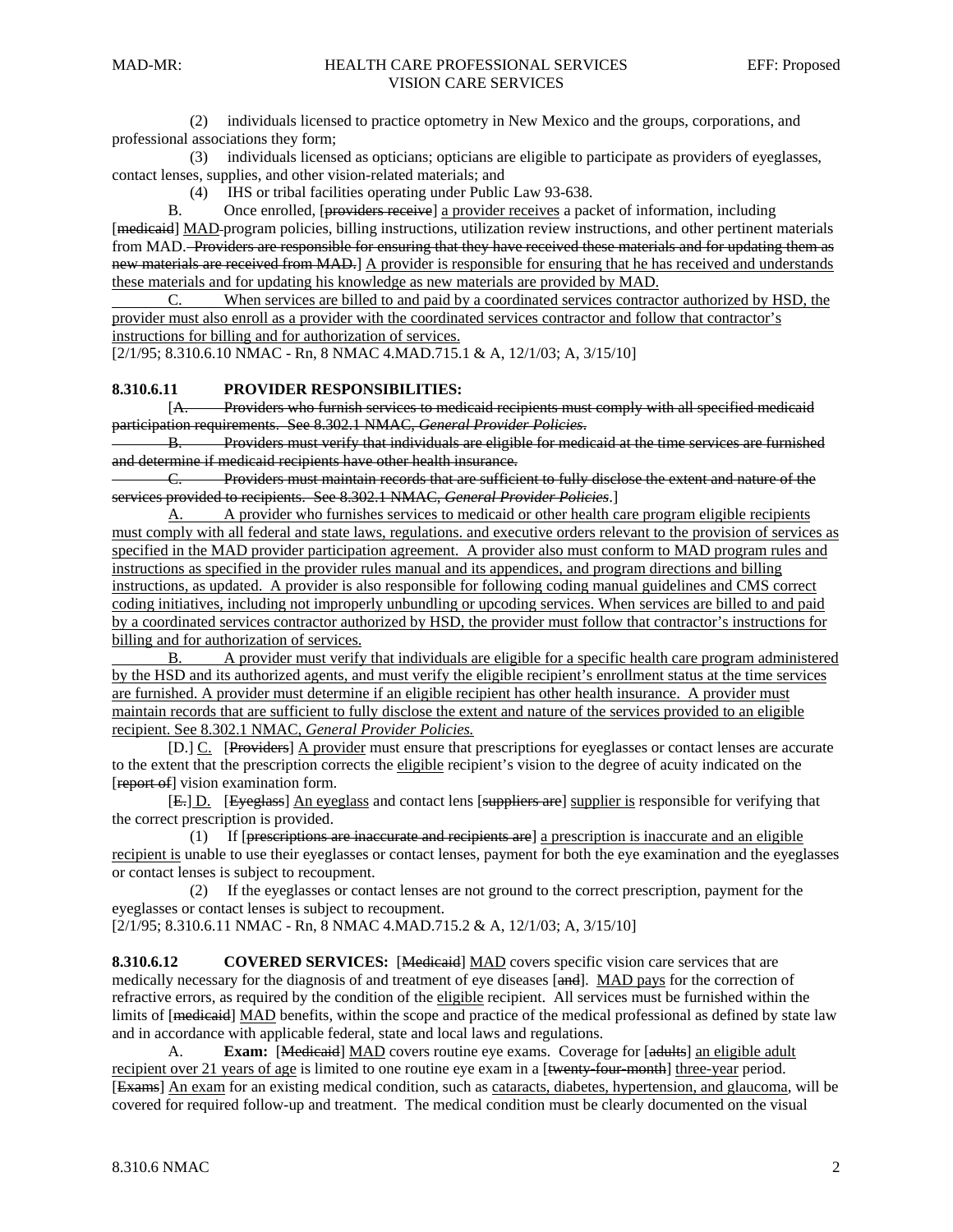(2) individuals licensed to practice optometry in New Mexico and the groups, corporations, and professional associations they form;

 (3) individuals licensed as opticians; opticians are eligible to participate as providers of eyeglasses, contact lenses, supplies, and other vision-related materials; and

(4) IHS or tribal facilities operating under Public Law 93-638.

 B. Once enrolled, [providers receive] a provider receives a packet of information, including [medicaid] MAD-program policies, billing instructions, utilization review instructions, and other pertinent materials from MAD. Providers are responsible for ensuring that they have received these materials and for updating them as new materials are received from MAD.] A provider is responsible for ensuring that he has received and understands these materials and for updating his knowledge as new materials are provided by MAD.

 C. When services are billed to and paid by a coordinated services contractor authorized by HSD, the provider must also enroll as a provider with the coordinated services contractor and follow that contractor's instructions for billing and for authorization of services.

[2/1/95; 8.310.6.10 NMAC - Rn, 8 NMAC 4.MAD.715.1 & A, 12/1/03; A, 3/15/10]

### **8.310.6.11 PROVIDER RESPONSIBILITIES:**

 [A. Providers who furnish services to medicaid recipients must comply with all specified medicaid participation requirements. See 8.302.1 NMAC, *General Provider Policies*.

Providers must verify that individuals are eligible for medicaid at the time services are furnished and determine if medicaid recipients have other health insurance.

C. Providers must maintain records that are sufficient to fully disclose the extent and nature of the services provided to recipients. See 8.302.1 NMAC, *General Provider Policies*.]

 A. A provider who furnishes services to medicaid or other health care program eligible recipients must comply with all federal and state laws, regulations. and executive orders relevant to the provision of services as specified in the MAD provider participation agreement. A provider also must conform to MAD program rules and instructions as specified in the provider rules manual and its appendices, and program directions and billing instructions, as updated. A provider is also responsible for following coding manual guidelines and CMS correct coding initiatives, including not improperly unbundling or upcoding services. When services are billed to and paid by a coordinated services contractor authorized by HSD, the provider must follow that contractor's instructions for billing and for authorization of services.

 B. A provider must verify that individuals are eligible for a specific health care program administered by the HSD and its authorized agents, and must verify the eligible recipient's enrollment status at the time services are furnished. A provider must determine if an eligible recipient has other health insurance. A provider must maintain records that are sufficient to fully disclose the extent and nature of the services provided to an eligible recipient. See 8.302.1 NMAC, *General Provider Policies.*

[D.] C. [Providers] A provider must ensure that prescriptions for eyeglasses or contact lenses are accurate to the extent that the prescription corrects the eligible recipient's vision to the degree of acuity indicated on the [report of] vision examination form.

 [E.] D. [Eyeglass] An eyeglass and contact lens [suppliers are] supplier is responsible for verifying that the correct prescription is provided.

 (1) If [prescriptions are inaccurate and recipients are] a prescription is inaccurate and an eligible recipient is unable to use their eyeglasses or contact lenses, payment for both the eye examination and the eyeglasses or contact lenses is subject to recoupment.

 (2) If the eyeglasses or contact lenses are not ground to the correct prescription, payment for the eyeglasses or contact lenses is subject to recoupment.

[2/1/95; 8.310.6.11 NMAC - Rn, 8 NMAC 4.MAD.715.2 & A, 12/1/03; A, 3/15/10]

**8.310.6.12** COVERED SERVICES: [Medicaid] MAD covers specific vision care services that are medically necessary for the diagnosis of and treatment of eye diseases [and]. MAD pays for the correction of refractive errors, as required by the condition of the eligible recipient. All services must be furnished within the limits of [medicaid] MAD benefits, within the scope and practice of the medical professional as defined by state law and in accordance with applicable federal, state and local laws and regulations.

A. **Exam:** [Medicaid] MAD covers routine eye exams. Coverage for [adults] an eligible adult recipient over 21 years of age is limited to one routine eye exam in a [twenty-four-month] three-year period. [Exams] An exam for an existing medical condition, such as cataracts, diabetes, hypertension, and glaucoma, will be covered for required follow-up and treatment. The medical condition must be clearly documented on the visual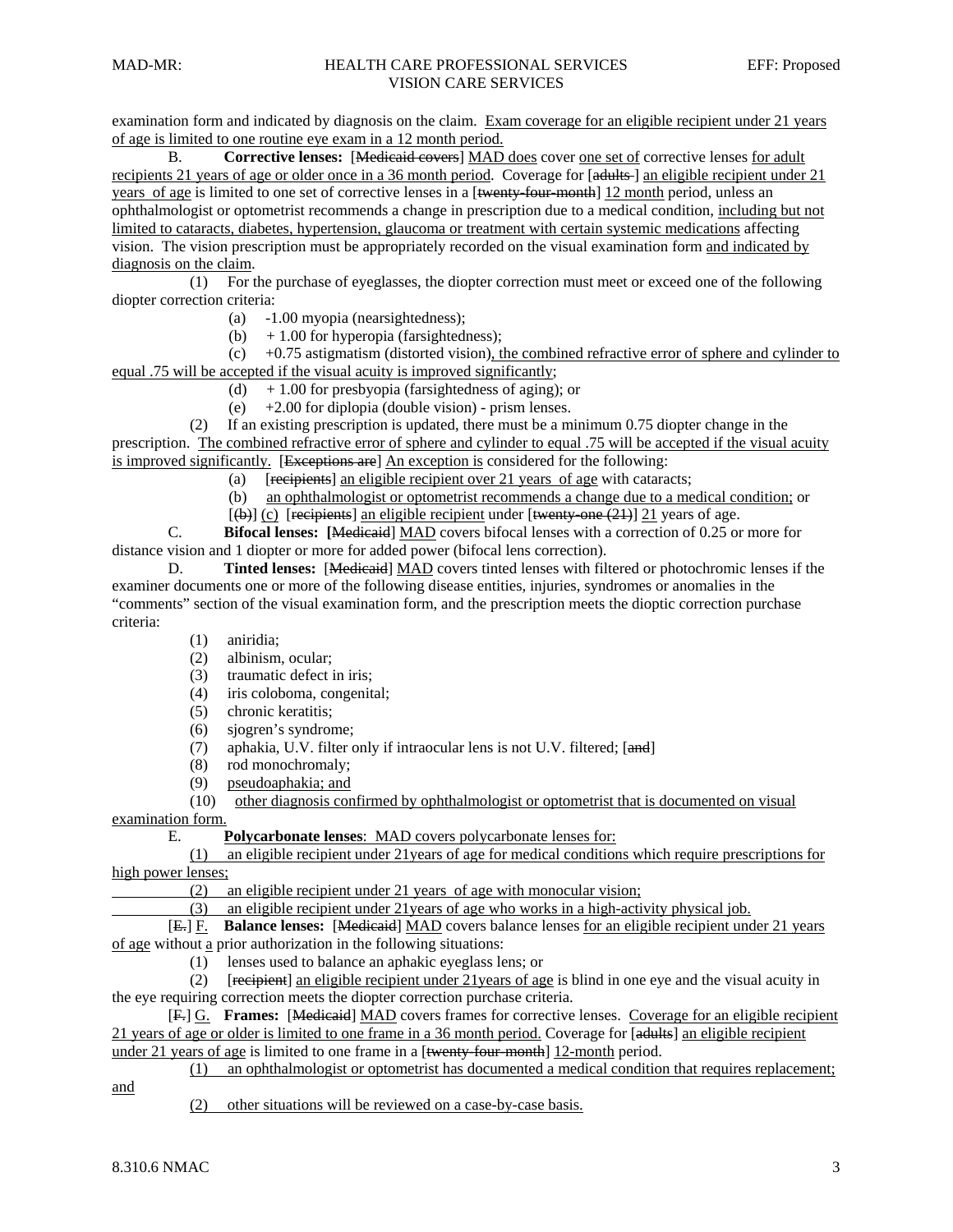examination form and indicated by diagnosis on the claim. Exam coverage for an eligible recipient under 21 years of age is limited to one routine eye exam in a 12 month period.

B. **Corrective lenses:** [Medicaid covers] MAD does cover one set of corrective lenses for adult recipients 21 years of age or older once in a 36 month period. Coverage for [adults-] an eligible recipient under 21 years of age is limited to one set of corrective lenses in a [<del>twenty-four-month]</del> 12 month period, unless an ophthalmologist or optometrist recommends a change in prescription due to a medical condition, including but not limited to cataracts, diabetes, hypertension, glaucoma or treatment with certain systemic medications affecting vision. The vision prescription must be appropriately recorded on the visual examination form and indicated by diagnosis on the claim.

 (1) For the purchase of eyeglasses, the diopter correction must meet or exceed one of the following diopter correction criteria:

- (a) -1.00 myopia (nearsightedness);
- (b)  $+1.00$  for hyperopia (farsightedness);

 (c) +0.75 astigmatism (distorted vision), the combined refractive error of sphere and cylinder to equal .75 will be accepted if the visual acuity is improved significantly;

- (d)  $+1.00$  for presbyopia (farsightedness of aging); or
- (e) +2.00 for diplopia (double vision) prism lenses.

 (2) If an existing prescription is updated, there must be a minimum 0.75 diopter change in the prescription. The combined refractive error of sphere and cylinder to equal .75 will be accepted if the visual acuity is improved significantly. [Exceptions are] An exception is considered for the following:

- (a) [recipients] an eligible recipient over 21 years of age with cataracts;
- (b) an ophthalmologist or optometrist recommends a change due to a medical condition; or
- $[\text{(+)}]$  (c) [recipients] an eligible recipient under [twenty-one (21)] 21 years of age.

 C. **Bifocal lenses: [**Medicaid] MAD covers bifocal lenses with a correction of 0.25 or more for distance vision and 1 diopter or more for added power (bifocal lens correction).

 D. **Tinted lenses:** [Medicaid] MAD covers tinted lenses with filtered or photochromic lenses if the examiner documents one or more of the following disease entities, injuries, syndromes or anomalies in the "comments" section of the visual examination form, and the prescription meets the dioptic correction purchase criteria:

(1) aniridia;

- (2) albinism, ocular;
- (3) traumatic defect in iris;
- (4) iris coloboma, congenital;
- (5) chronic keratitis;
- (6) sjogren's syndrome;
- (7) aphakia, U.V. filter only if intraocular lens is not U.V. filtered; [and]
- (8) rod monochromaly;
- (9) pseudoaphakia; and

(10) other diagnosis confirmed by ophthalmologist or optometrist that is documented on visual

examination form.

E. **Polycarbonate lenses**: MAD covers polycarbonate lenses for:

 (1) an eligible recipient under 21years of age for medical conditions which require prescriptions for high power lenses;

(2) an eligible recipient under 21 years of age with monocular vision;

(3) an eligible recipient under 21years of age who works in a high-activity physical job.

 [E.] F. **Balance lenses:** [Medicaid] MAD covers balance lenses for an eligible recipient under 21 years of age without a prior authorization in the following situations:

(1) lenses used to balance an aphakic eyeglass lens; or

 (2) [recipient] an eligible recipient under 21years of age is blind in one eye and the visual acuity in the eye requiring correction meets the diopter correction purchase criteria.

 [F.] G. **Frames:** [Medicaid] MAD covers frames for corrective lenses. Coverage for an eligible recipient 21 years of age or older is limited to one frame in a 36 month period. Coverage for [adults] an eligible recipient

under 21 years of age is limited to one frame in a [twenty-four-month] 12-month period.

(1) an ophthalmologist or optometrist has documented a medical condition that requires replacement;

and

(2) other situations will be reviewed on a case-by-case basis.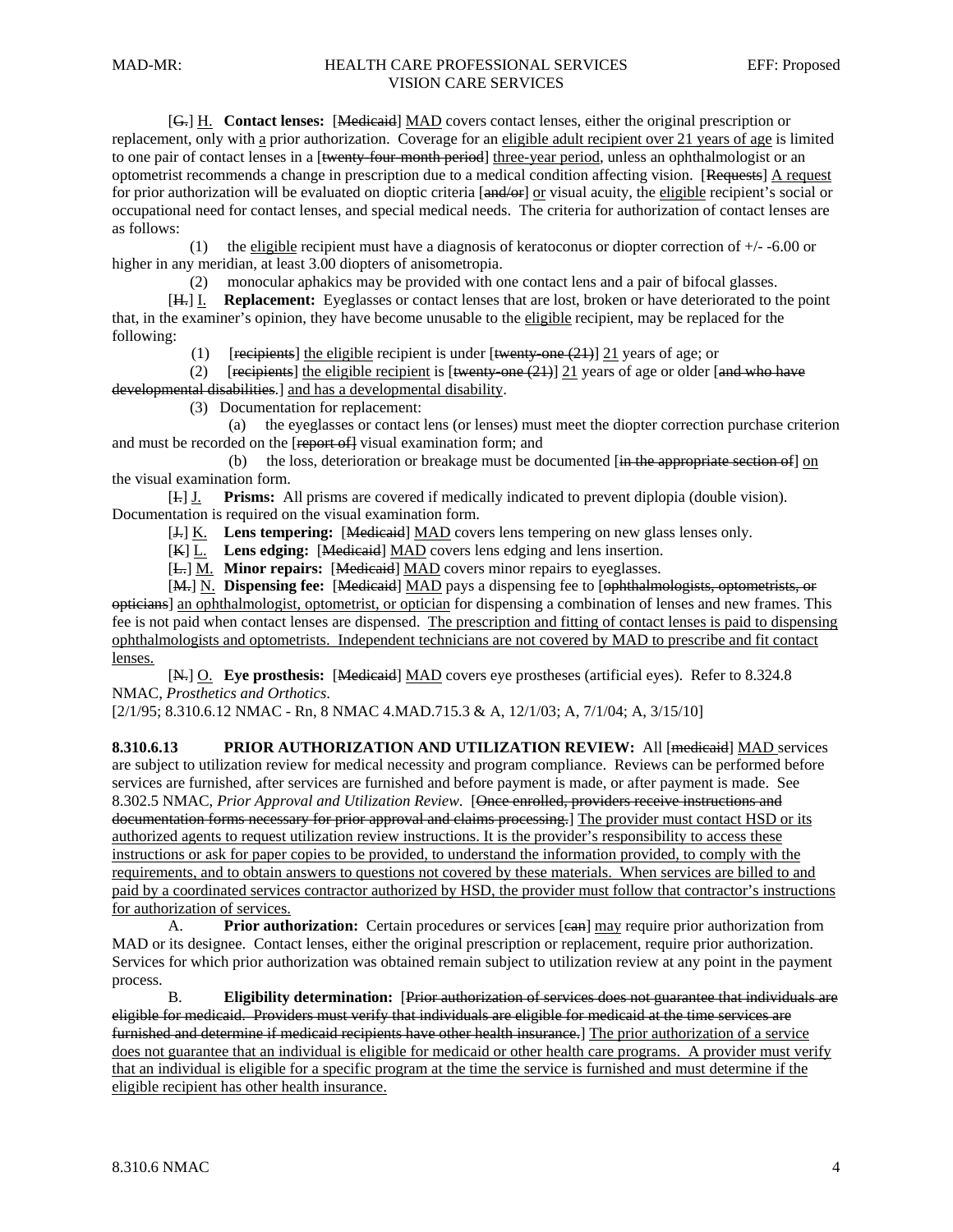[G.] H. **Contact lenses:** [Medicaid] MAD covers contact lenses, either the original prescription or replacement, only with a prior authorization. Coverage for an eligible adult recipient over 21 years of age is limited to one pair of contact lenses in a [twenty-four-month period] three-year period, unless an ophthalmologist or an optometrist recommends a change in prescription due to a medical condition affecting vision. [Requests] A request for prior authorization will be evaluated on dioptic criteria [and/or] or visual acuity, the eligible recipient's social or occupational need for contact lenses, and special medical needs. The criteria for authorization of contact lenses are as follows:

(1) the eligible recipient must have a diagnosis of keratoconus or diopter correction of  $+/-$  -6.00 or higher in any meridian, at least 3.00 diopters of anisometropia.

(2) monocular aphakics may be provided with one contact lens and a pair of bifocal glasses.

 [H.] I. **Replacement:** Eyeglasses or contact lenses that are lost, broken or have deteriorated to the point that, in the examiner's opinion, they have become unusable to the eligible recipient, may be replaced for the following:

(1) [recipients] the eligible recipient is under  $[\text{twenty-one} (21)]$  21 years of age; or

(2) [recipients] the eligible recipient is  $[\text{twenty-one} (21)]$  21 years of age or older  $[\text{and who have}]$ developmental disabilities.] and has a developmental disability.

(3) Documentation for replacement:

 (a) the eyeglasses or contact lens (or lenses) must meet the diopter correction purchase criterion and must be recorded on the [report of] visual examination form; and

(b) the loss, deterioration or breakage must be documented  $[\overline{in}$  the appropriate section of  $]$  on the visual examination form.

 [I.] J. **Prisms:** All prisms are covered if medically indicated to prevent diplopia (double vision). Documentation is required on the visual examination form.

[J.] K. **Lens tempering:** [Medicaid] MAD covers lens tempering on new glass lenses only.

[K] L. Lens edging: [Medicaid] MAD covers lens edging and lens insertion.

[ $L$ .] M. **Minor repairs:** [Medicaid] MAD covers minor repairs to eyeglasses.

[M.] N. **Dispensing fee:** [Medicaid] MAD pays a dispensing fee to [ophthalmologists, optometrists, or opticians] an ophthalmologist, optometrist, or optician for dispensing a combination of lenses and new frames. This fee is not paid when contact lenses are dispensed. The prescription and fitting of contact lenses is paid to dispensing ophthalmologists and optometrists. Independent technicians are not covered by MAD to prescribe and fit contact lenses.

[N.] O. Eye prosthesis: [Medicaid] MAD covers eye prostheses (artificial eyes). Refer to 8.324.8 NMAC, *Prosthetics and Orthotics*.

[2/1/95; 8.310.6.12 NMAC - Rn, 8 NMAC 4.MAD.715.3 & A, 12/1/03; A, 7/1/04; A, 3/15/10]

**8.310.6.13 PRIOR AUTHORIZATION AND UTILIZATION REVIEW:** All [medicaid] MAD services are subject to utilization review for medical necessity and program compliance. Reviews can be performed before services are furnished, after services are furnished and before payment is made, or after payment is made. See 8.302.5 NMAC, *Prior Approval and Utilization Review*. [Once enrolled, providers receive instructions and documentation forms necessary for prior approval and claims processing.] The provider must contact HSD or its authorized agents to request utilization review instructions. It is the provider's responsibility to access these instructions or ask for paper copies to be provided, to understand the information provided, to comply with the requirements, and to obtain answers to questions not covered by these materials. When services are billed to and paid by a coordinated services contractor authorized by HSD, the provider must follow that contractor's instructions for authorization of services.

A. **Prior authorization:** Certain procedures or services [ean] may require prior authorization from MAD or its designee. Contact lenses, either the original prescription or replacement, require prior authorization. Services for which prior authorization was obtained remain subject to utilization review at any point in the payment process.

 B. **Eligibility determination:** [Prior authorization of services does not guarantee that individuals are eligible for medicaid. Providers must verify that individuals are eligible for medicaid at the time services are furnished and determine if medicaid recipients have other health insurance.] The prior authorization of a service does not guarantee that an individual is eligible for medicaid or other health care programs. A provider must verify that an individual is eligible for a specific program at the time the service is furnished and must determine if the eligible recipient has other health insurance.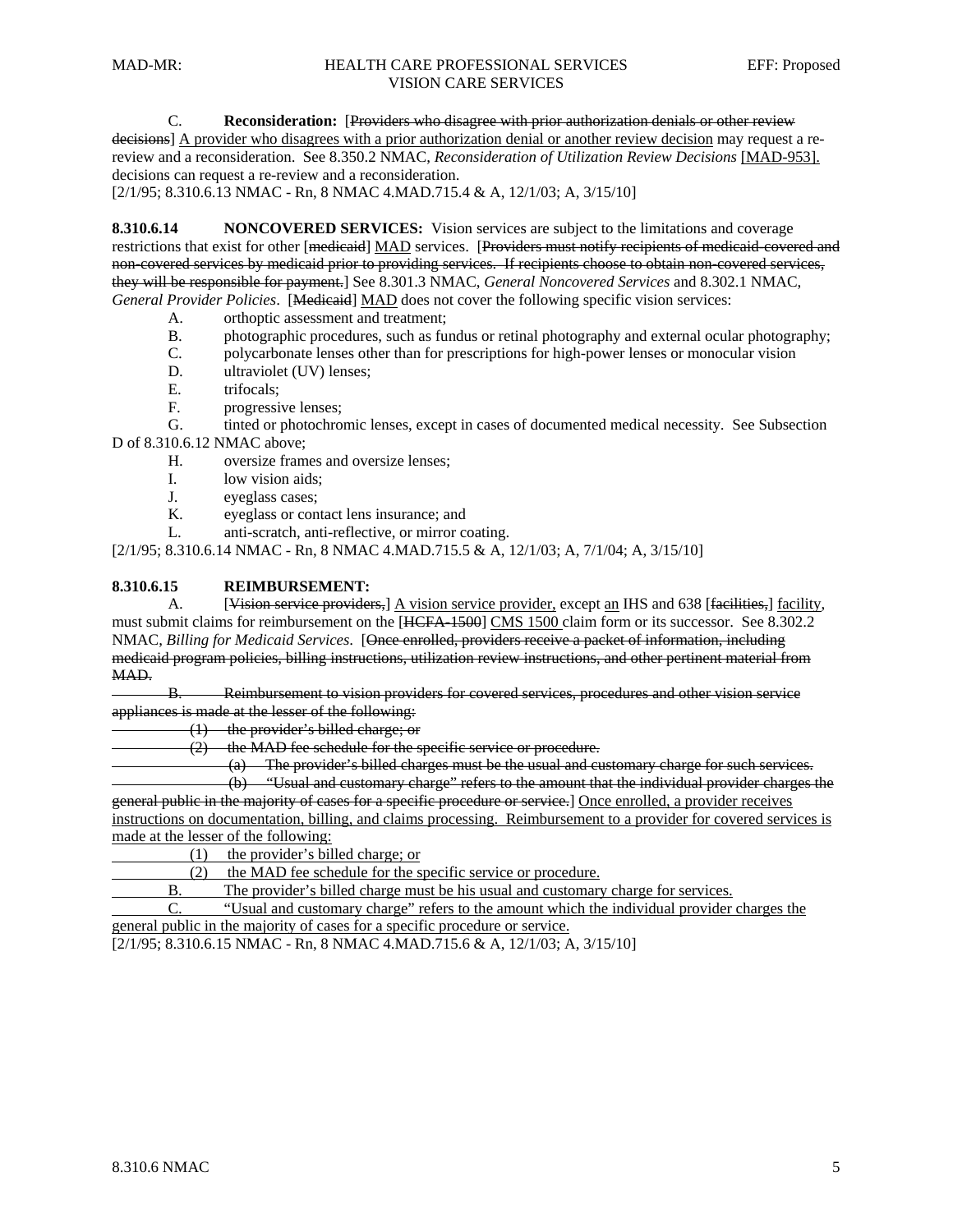C. **Reconsideration:** [Providers who disagree with prior authorization denials or other review

decisions] A provider who disagrees with a prior authorization denial or another review decision may request a rereview and a reconsideration. See 8.350.2 NMAC, *Reconsideration of Utilization Review Decisions* [MAD-953]. decisions can request a re-review and a reconsideration.

 $[2/1/95; 8.310.6.13 \text{ NMAC} - \text{Rn}, 8 \text{ NMAC} 4. \text{ MAD}.715.4 \& A, 12/1/03; A, 3/15/10]$ 

**8.310.6.14 NONCOVERED SERVICES:** Vision services are subject to the limitations and coverage restrictions that exist for other [medicaid] MAD services. [Providers must notify recipients of medicaid-covered and non-covered services by medicaid prior to providing services. If recipients choose to obtain non-covered services, they will be responsible for payment.] See 8.301.3 NMAC, *General Noncovered Services* and 8.302.1 NMAC, *General Provider Policies*. [Medicaid] MAD does not cover the following specific vision services:

A. orthoptic assessment and treatment;

- B. photographic procedures, such as fundus or retinal photography and external ocular photography;
- C. polycarbonate lenses other than for prescriptions for high-power lenses or monocular vision
- D. ultraviolet (UV) lenses;
- E. trifocals:
- F. progressive lenses;

 G. tinted or photochromic lenses, except in cases of documented medical necessity. See Subsection D of 8.310.6.12 NMAC above;

- H. oversize frames and oversize lenses;
- I. low vision aids;
- J. eyeglass cases;
- K. eyeglass or contact lens insurance; and
- L. anti-scratch, anti-reflective, or mirror coating.

[2/1/95; 8.310.6.14 NMAC - Rn, 8 NMAC 4.MAD.715.5 & A, 12/1/03; A, 7/1/04; A, 3/15/10]

#### **8.310.6.15 REIMBURSEMENT:**

A. [Vision service providers,] A vision service provider, except an IHS and 638 [facilities,] facility, must submit claims for reimbursement on the [HCFA-1500] CMS 1500 claim form or its successor. See 8.302.2 NMAC, *Billing for Medicaid Services*. [Once enrolled, providers receive a packet of information, including medicaid program policies, billing instructions, utilization review instructions, and other pertinent material from MAD.

B. Reimbursement to vision providers for covered services, procedures and other vision service appliances is made at the lesser of the following:

(1) the provider's billed charge; or

(2) the MAD fee schedule for the specific service or procedure.

(a) The provider's billed charges must be the usual and customary charge for such services.

 (b) "Usual and customary charge" refers to the amount that the individual provider charges the general public in the majority of cases for a specific procedure or service.] Once enrolled, a provider receives instructions on documentation, billing, and claims processing. Reimbursement to a provider for covered services is made at the lesser of the following:

(1) the provider's billed charge; or

(2) the MAD fee schedule for the specific service or procedure.

B. The provider's billed charge must be his usual and customary charge for services.

 C. "Usual and customary charge" refers to the amount which the individual provider charges the general public in the majority of cases for a specific procedure or service.

[2/1/95; 8.310.6.15 NMAC - Rn, 8 NMAC 4.MAD.715.6 & A, 12/1/03; A, 3/15/10]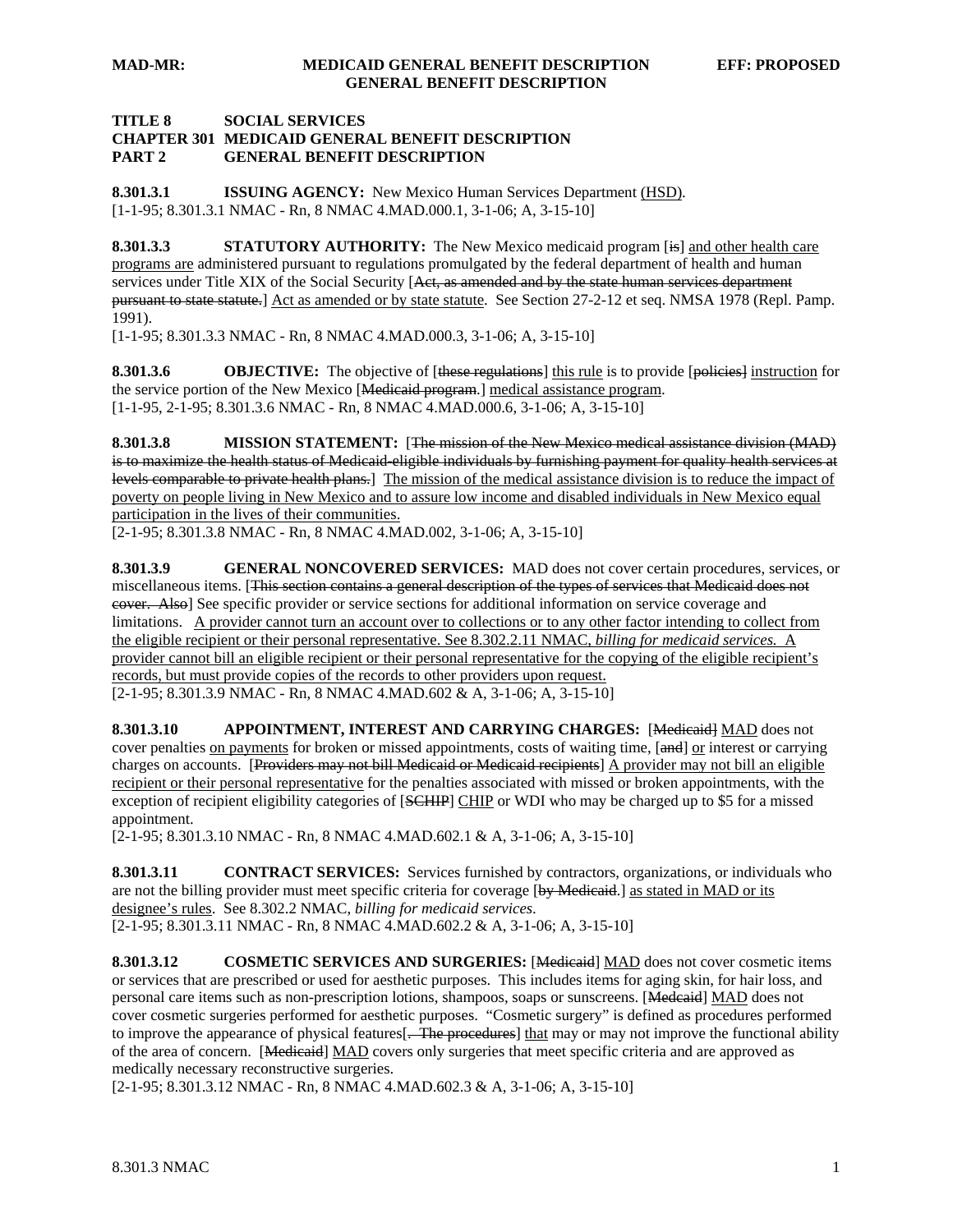#### **TITLE 8 SOCIAL SERVICES**

#### **CHAPTER 301 MEDICAID GENERAL BENEFIT DESCRIPTION PART 2 GENERAL BENEFIT DESCRIPTION**

**8.301.3.1 ISSUING AGENCY:** New Mexico Human Services Department (HSD). [1-1-95; 8.301.3.1 NMAC - Rn, 8 NMAC 4.MAD.000.1, 3-1-06; A, 3-15-10]

**8.301.3.3** STATUTORY AUTHORITY: The New Mexico medicaid program [is] and other health care programs are administered pursuant to regulations promulgated by the federal department of health and human services under Title XIX of the Social Security [Act, as amended and by the state human services department pursuant to state statute.] Act as amended or by state statute. See Section 27-2-12 et seq. NMSA 1978 (Repl. Pamp. 1991).

[1-1-95; 8.301.3.3 NMAC - Rn, 8 NMAC 4.MAD.000.3, 3-1-06; A, 3-15-10]

**8.301.3.6 OBJECTIVE:** The objective of [these regulations] this rule is to provide [policies] instruction for the service portion of the New Mexico [Medicaid program.] medical assistance program. [1-1-95, 2-1-95; 8.301.3.6 NMAC - Rn, 8 NMAC 4.MAD.000.6, 3-1-06; A, 3-15-10]

**8.301.3.8 MISSION STATEMENT:** [The mission of the New Mexico medical assistance division (MAD) is to maximize the health status of Medicaid eligible individuals by furnishing payment for quality health services at levels comparable to private health plans.] The mission of the medical assistance division is to reduce the impact of poverty on people living in New Mexico and to assure low income and disabled individuals in New Mexico equal participation in the lives of their communities.

[2-1-95; 8.301.3.8 NMAC - Rn, 8 NMAC 4.MAD.002, 3-1-06; A, 3-15-10]

**8.301.3.9 GENERAL NONCOVERED SERVICES:** MAD does not cover certain procedures, services, or miscellaneous items. [This section contains a general description of the types of services that Medicaid does not cover. Also] See specific provider or service sections for additional information on service coverage and limitations. A provider cannot turn an account over to collections or to any other factor intending to collect from the eligible recipient or their personal representative. See 8.302.2.11 NMAC, *billing for medicaid services.* A provider cannot bill an eligible recipient or their personal representative for the copying of the eligible recipient's records, but must provide copies of the records to other providers upon request. [2-1-95; 8.301.3.9 NMAC - Rn, 8 NMAC 4.MAD.602 & A, 3-1-06; A, 3-15-10]

**8.301.3.10 APPOINTMENT, INTEREST AND CARRYING CHARGES:** [Medicaid] MAD does not cover penalties on payments for broken or missed appointments, costs of waiting time, [and] or interest or carrying charges on accounts. [Providers may not bill Medicaid or Medicaid recipients] A provider may not bill an eligible recipient or their personal representative for the penalties associated with missed or broken appointments, with the exception of recipient eligibility categories of [SCHIP] CHIP or WDI who may be charged up to \$5 for a missed appointment.

[2-1-95; 8.301.3.10 NMAC - Rn, 8 NMAC 4.MAD.602.1 & A, 3-1-06; A, 3-15-10]

**8.301.3.11 CONTRACT SERVICES:** Services furnished by contractors, organizations, or individuals who are not the billing provider must meet specific criteria for coverage [by Medicaid.] as stated in MAD or its designee's rules. See 8.302.2 NMAC, *billing for medicaid services*. [2-1-95; 8.301.3.11 NMAC - Rn, 8 NMAC 4.MAD.602.2 & A, 3-1-06; A, 3-15-10]

**8.301.3.12 COSMETIC SERVICES AND SURGERIES:** [Medicaid] MAD does not cover cosmetic items or services that are prescribed or used for aesthetic purposes. This includes items for aging skin, for hair loss, and personal care items such as non-prescription lotions, shampoos, soaps or sunscreens. [Medeaid] MAD does not cover cosmetic surgeries performed for aesthetic purposes. "Cosmetic surgery" is defined as procedures performed to improve the appearance of physical features [. The procedures] that may or may not improve the functional ability of the area of concern. [Medicaid] MAD covers only surgeries that meet specific criteria and are approved as medically necessary reconstructive surgeries.

[2-1-95; 8.301.3.12 NMAC - Rn, 8 NMAC 4.MAD.602.3 & A, 3-1-06; A, 3-15-10]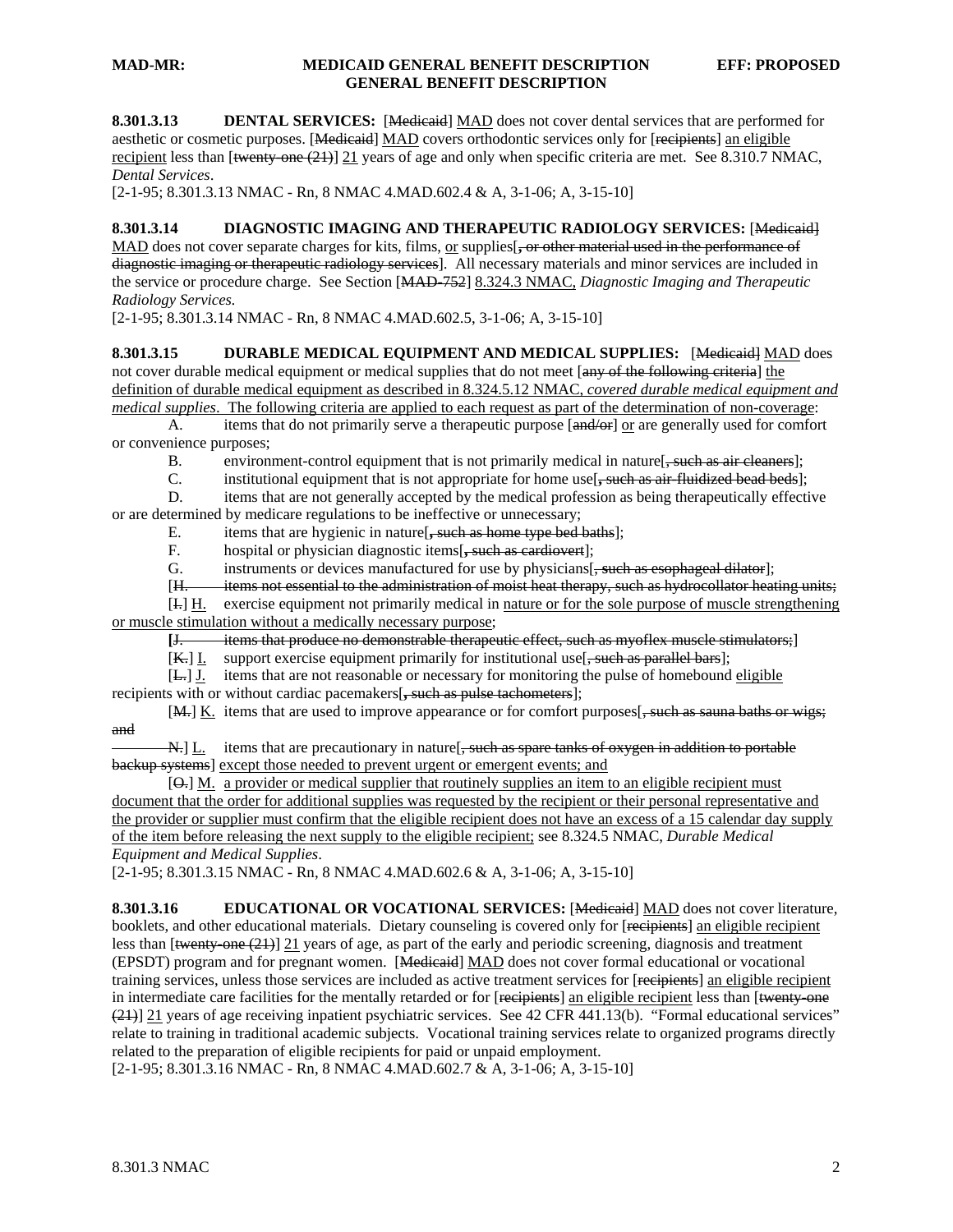### **MAD-MR: MEDICAID GENERAL BENEFIT DESCRIPTION EFF: PROPOSED GENERAL BENEFIT DESCRIPTION**

**8.301.3.13 DENTAL SERVICES:** [Medicaid] MAD does not cover dental services that are performed for aesthetic or cosmetic purposes. [Medicaid] MAD covers orthodontic services only for [recipients] an eligible recipient less than  $\text{[text+} \Theta(21)$ ] 21 years of age and only when specific criteria are met. See 8.310.7 NMAC, *Dental Services*.

[2-1-95; 8.301.3.13 NMAC - Rn, 8 NMAC 4.MAD.602.4 & A, 3-1-06; A, 3-15-10]

## **8.301.3.14 DIAGNOSTIC IMAGING AND THERAPEUTIC RADIOLOGY SERVICES:** [Medicaid]

MAD does not cover separate charges for kits, films, or supplies  $\frac{1}{2}$  or other material used in the performance of diagnostic imaging or therapeutic radiology services]. All necessary materials and minor services are included in the service or procedure charge.See Section [MAD-752] 8.324.3 NMAC, *Diagnostic Imaging and Therapeutic Radiology Services.* 

[2-1-95; 8.301.3.14 NMAC - Rn, 8 NMAC 4.MAD.602.5, 3-1-06; A, 3-15-10]

**8.301.3.15 DURABLE MEDICAL EQUIPMENT AND MEDICAL SUPPLIES:** [Medicaid] MAD does not cover durable medical equipment or medical supplies that do not meet [any of the following criteria] the definition of durable medical equipment as described in 8.324.5.12 NMAC, *covered durable medical equipment and medical supplies*. The following criteria are applied to each request as part of the determination of non-coverage:

A. items that do not primarily serve a therapeutic purpose  $\left[\frac{and}{or}\right]$  or are generally used for comfort or convenience purposes;

B. environment-control equipment that is not primarily medical in nature [, such as air cleaners];

C. institutional equipment that is not appropriate for home use[**,** such as air-fluidized bead beds];

 D. items that are not generally accepted by the medical profession as being therapeutically effective or are determined by medicare regulations to be ineffective or unnecessary;

E. items that are hygienic in nature[, such as home type bed baths];<br>F. hospital or physician diagnostic items[, such as earlievert]:

hospital or physician diagnostic items[, such as cardiovert];

G. instruments or devices manufactured for use by physicians[, **s**uch as esophageal dilator];

[H. items not essential to the administration of moist heat therapy, such as hydrocollator heating units;

[I.] H. exercise equipment not primarily medical in nature or for the sole purpose of muscle strengthening

or muscle stimulation without a medically necessary purpose;

 **[**J. items that produce no demonstrable therapeutic effect, such as myoflex muscle stimulators;]

 $[K_r]$  I. support exercise equipment primarily for institutional use  $\frac{1}{2}$ , such as parallel bars];

[L.] J. items that are not reasonable or necessary for monitoring the pulse of homebound eligible

recipients with or without cardiac pacemakers[**,** such as pulse tachometers];

[M.] K. items that are used to improve appearance or for comfort purposes [, such as sauna baths or wigs; and

N. L. items that are precautionary in nature [, such as spare tanks of oxygen in addition to portable backup systems] except those needed to prevent urgent or emergent events; and

 [O.] M. a provider or medical supplier that routinely supplies an item to an eligible recipient must document that the order for additional supplies was requested by the recipient or their personal representative and the provider or supplier must confirm that the eligible recipient does not have an excess of a 15 calendar day supply of the item before releasing the next supply to the eligible recipient; see 8.324.5 NMAC, *Durable Medical Equipment and Medical Supplies*.

 $[2-1-95; 8.301.3.15 \text{ NMAC} - \text{Rn}, 8 \text{ NMAC } 4 \cdot \text{MAD}$ .602.6 & A, 3-1-06; A, 3-15-10]

8.301.3.16 **EDUCATIONAL OR VOCATIONAL SERVICES:** [Medicaid] MAD does not cover literature, booklets, and other educational materials. Dietary counseling is covered only for [recipients] an eligible recipient less than  $\left[\frac{\mu_{\text{vent}}}{\sigma_{\text{tot}}} \right]$  21 years of age, as part of the early and periodic screening, diagnosis and treatment (EPSDT) program and for pregnant women. [Medicaid] MAD does not cover formal educational or vocational training services, unless those services are included as active treatment services for [recipients] an eligible recipient in intermediate care facilities for the mentally retarded or for [recipients] an eligible recipient less than [twenty-one (21)] 21 years of age receiving inpatient psychiatric services. See 42 CFR 441.13(b). "Formal educational services" relate to training in traditional academic subjects. Vocational training services relate to organized programs directly related to the preparation of eligible recipients for paid or unpaid employment.

[2-1-95; 8.301.3.16 NMAC - Rn, 8 NMAC 4.MAD.602.7 & A, 3-1-06; A, 3-15-10]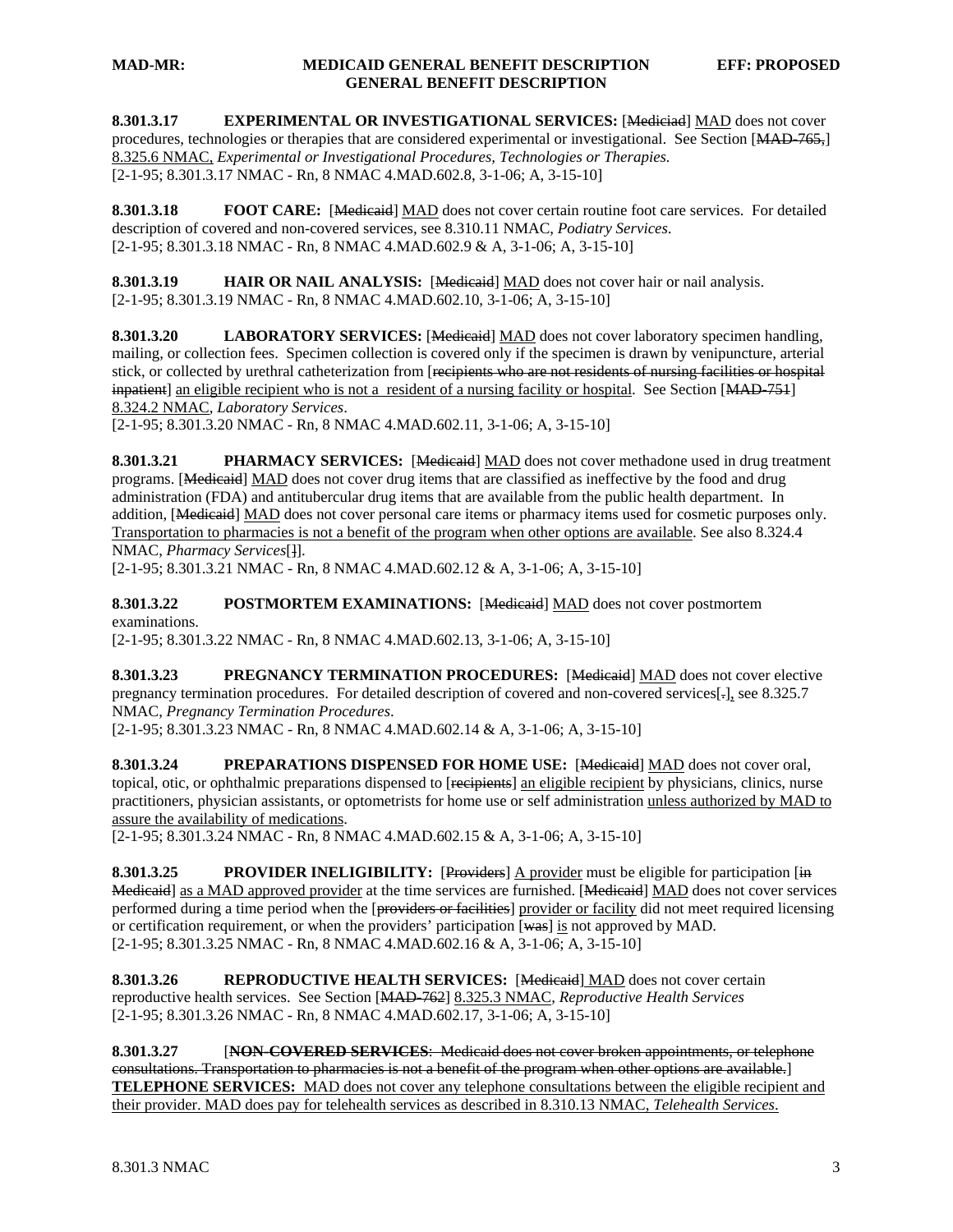### **MAD-MR: MEDICAID GENERAL BENEFIT DESCRIPTION EFF: PROPOSED GENERAL BENEFIT DESCRIPTION**

8.301.3.17 **EXPERIMENTAL OR INVESTIGATIONAL SERVICES:** [Mediciad] MAD does not cover procedures, technologies or therapies that are considered experimental or investigational. See Section [MAD-765,] 8.325.6 NMAC, *Experimental or Investigational Procedures, Technologies or Therapies.* [2-1-95; 8.301.3.17 NMAC - Rn, 8 NMAC 4.MAD.602.8, 3-1-06; A, 3-15-10]

**8.301.3.18 FOOT CARE:** [Medicaid] MAD does not cover certain routine foot care services. For detailed description of covered and non-covered services, see 8.310.11 NMAC, *Podiatry Services*. [2-1-95; 8.301.3.18 NMAC - Rn, 8 NMAC 4.MAD.602.9 & A, 3-1-06; A, 3-15-10]

**8.301.3.19 HAIR OR NAIL ANALYSIS:** [Medicaid] MAD does not cover hair or nail analysis. [2-1-95; 8.301.3.19 NMAC - Rn, 8 NMAC 4.MAD.602.10, 3-1-06; A, 3-15-10]

**8.301.3.20 LABORATORY SERVICES:** [Medicaid] MAD does not cover laboratory specimen handling, mailing, or collection fees. Specimen collection is covered only if the specimen is drawn by venipuncture, arterial stick, or collected by urethral catheterization from [recipients who are not residents of nursing facilities or hospital inpatient] an eligible recipient who is not a resident of a nursing facility or hospital. See Section [MAD-751] 8.324.2 NMAC, *Laboratory Services*.

[2-1-95; 8.301.3.20 NMAC - Rn, 8 NMAC 4.MAD.602.11, 3-1-06; A, 3-15-10]

**8.301.3.21 PHARMACY SERVICES:** [Medicaid] MAD does not cover methadone used in drug treatment programs. [Medicaid] MAD does not cover drug items that are classified as ineffective by the food and drug administration (FDA) and antitubercular drug items that are available from the public health department. In addition, [Medicaid] MAD does not cover personal care items or pharmacy items used for cosmetic purposes only. Transportation to pharmacies is not a benefit of the program when other options are available. See also 8.324.4 NMAC, *Pharmacy Services*[]].

[2-1-95; 8.301.3.21 NMAC - Rn, 8 NMAC 4.MAD.602.12 & A, 3-1-06; A, 3-15-10]

**8.301.3.22 POSTMORTEM EXAMINATIONS:** [Medicaid] MAD does not cover postmortem examinations.

[2-1-95; 8.301.3.22 NMAC - Rn, 8 NMAC 4.MAD.602.13, 3-1-06; A, 3-15-10]

**8.301.3.23 PREGNANCY TERMINATION PROCEDURES:** [Medicaid] MAD does not cover elective pregnancy termination procedures. For detailed description of covered and non-covered services[.], see 8.325.7 NMAC, *Pregnancy Termination Procedures*.

[2-1-95; 8.301.3.23 NMAC - Rn, 8 NMAC 4.MAD.602.14 & A, 3-1-06; A, 3-15-10]

**8.301.3.24 PREPARATIONS DISPENSED FOR HOME USE:** [Medicaid] MAD does not cover oral, topical, otic, or ophthalmic preparations dispensed to [recipients] an eligible recipient by physicians, clinics, nurse practitioners, physician assistants, or optometrists for home use or self administration unless authorized by MAD to assure the availability of medications.

[2-1-95; 8.301.3.24 NMAC - Rn, 8 NMAC 4.MAD.602.15 & A, 3-1-06; A, 3-15-10]

**8.301.3.25 PROVIDER INELIGIBILITY:** [Providers] A provider must be eligible for participation [in Medicaid] as a MAD approved provider at the time services are furnished. [Medicaid] MAD does not cover services performed during a time period when the [providers or facilities] provider or facility did not meet required licensing or certification requirement, or when the providers' participation [was] is not approved by MAD. [2-1-95; 8.301.3.25 NMAC - Rn, 8 NMAC 4.MAD.602.16 & A, 3-1-06; A, 3-15-10]

**8.301.3.26 REPRODUCTIVE HEALTH SERVICES:** [Medicaid] MAD does not cover certain reproductive health services. See Section [MAD-762] 8.325.3 NMAC, *Reproductive Health Services* [2-1-95; 8.301.3.26 NMAC - Rn, 8 NMAC 4.MAD.602.17, 3-1-06; A, 3-15-10]

**8.301.3.27** [**NON-COVERED SERVICES**: Medicaid does not cover broken appointments, or telephone consultations. Transportation to pharmacies is not a benefit of the program when other options are available.] **TELEPHONE SERVICES:** MAD does not cover any telephone consultations between the eligible recipient and their provider. MAD does pay for telehealth services as described in 8.310.13 NMAC, *Telehealth Services*.